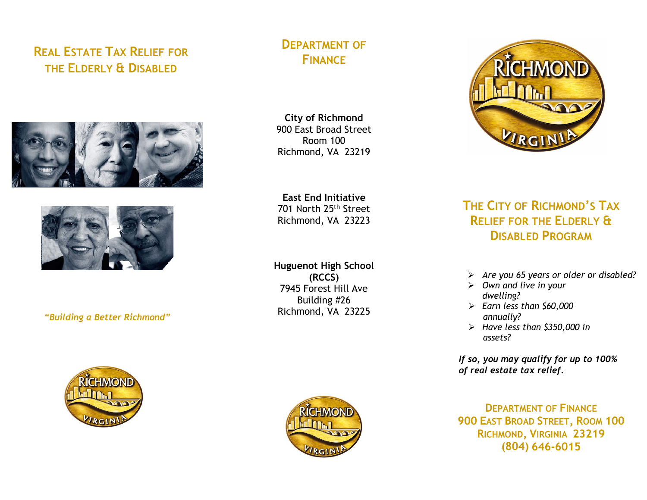# **REAL ESTATE TAX RELIEF FOR THE ELDERLY & DISABLED**





## *"Building a Better Richmond"*

# **DEPARTMENT OF FINANCE**

**City of Richmond** 900 East Broad Street Room 100 Richmond, VA 23219

**East End Initiative** 701 North 25th Street Richmond, VA 23223

**Huguenot High School (RCCS)** 7945 Forest Hill Ave Building #26 Richmond, VA 23225



# **THE CITY OF RICHMOND'S TAX RELIEF FOR THE ELDERLY & DISABLED PROGRAM**

- *Are you 65 years or older or disabled?*
- *Own and live in your dwelling?*
- *Earn less than \$60,000 annually?*
- *Have less than \$350,000 in assets?*

*If so, you may qualify for up to 100% of real estate tax relief.*

**DEPARTMENT OF FINANCE 900 EAST BROAD STREET, ROOM 100 RICHMOND, VIRGINIA 23219 (804) 646-6015**